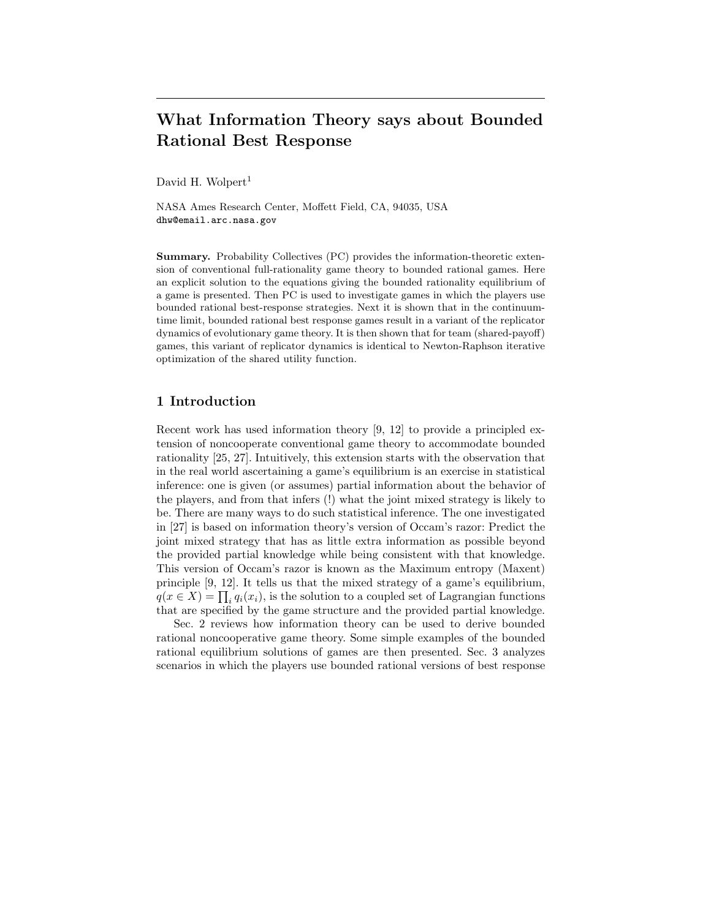# What Information Theory says about Bounded Rational Best Response

David H. Wolpert<sup>1</sup>

NASA Ames Research Center, Moffett Field, CA, 94035, USA dhw@email.arc.nasa.gov

Summary. Probability Collectives (PC) provides the information-theoretic extension of conventional full-rationality game theory to bounded rational games. Here an explicit solution to the equations giving the bounded rationality equilibrium of a game is presented. Then PC is used to investigate games in which the players use bounded rational best-response strategies. Next it is shown that in the continuumtime limit, bounded rational best response games result in a variant of the replicator dynamics of evolutionary game theory. It is then shown that for team (shared-payoff) games, this variant of replicator dynamics is identical to Newton-Raphson iterative optimization of the shared utility function.

# 1 Introduction

Recent work has used information theory [9, 12] to provide a principled extension of noncooperate conventional game theory to accommodate bounded rationality [25, 27]. Intuitively, this extension starts with the observation that in the real world ascertaining a game's equilibrium is an exercise in statistical inference: one is given (or assumes) partial information about the behavior of the players, and from that infers (!) what the joint mixed strategy is likely to be. There are many ways to do such statistical inference. The one investigated in [27] is based on information theory's version of Occam's razor: Predict the joint mixed strategy that has as little extra information as possible beyond the provided partial knowledge while being consistent with that knowledge. This version of Occam's razor is known as the Maximum entropy (Maxent) principle [9, 12]. It tells us that the mixed strategy of a game's equilibrium,  $q(x \in X) = \prod_i q_i(x_i)$ , is the solution to a coupled set of Lagrangian functions that are specified by the game structure and the provided partial knowledge.

Sec. 2 reviews how information theory can be used to derive bounded rational noncooperative game theory. Some simple examples of the bounded rational equilibrium solutions of games are then presented. Sec. 3 analyzes scenarios in which the players use bounded rational versions of best response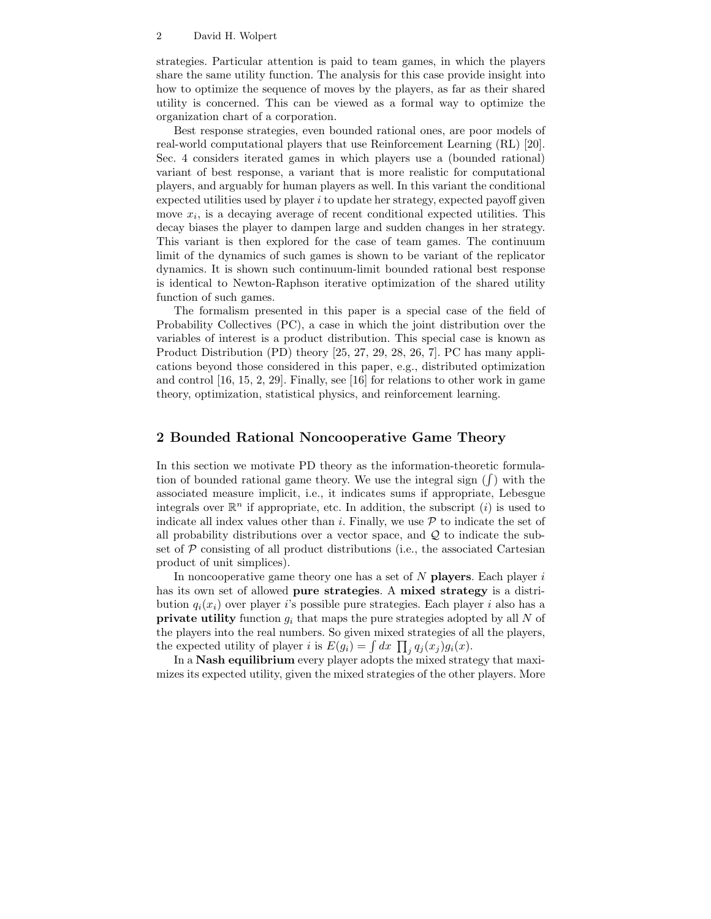strategies. Particular attention is paid to team games, in which the players share the same utility function. The analysis for this case provide insight into how to optimize the sequence of moves by the players, as far as their shared utility is concerned. This can be viewed as a formal way to optimize the organization chart of a corporation.

Best response strategies, even bounded rational ones, are poor models of real-world computational players that use Reinforcement Learning (RL) [20]. Sec. 4 considers iterated games in which players use a (bounded rational) variant of best response, a variant that is more realistic for computational players, and arguably for human players as well. In this variant the conditional expected utilities used by player  $i$  to update her strategy, expected payoff given move  $x_i$ , is a decaying average of recent conditional expected utilities. This decay biases the player to dampen large and sudden changes in her strategy. This variant is then explored for the case of team games. The continuum limit of the dynamics of such games is shown to be variant of the replicator dynamics. It is shown such continuum-limit bounded rational best response is identical to Newton-Raphson iterative optimization of the shared utility function of such games.

The formalism presented in this paper is a special case of the field of Probability Collectives (PC), a case in which the joint distribution over the variables of interest is a product distribution. This special case is known as Product Distribution (PD) theory [25, 27, 29, 28, 26, 7]. PC has many applications beyond those considered in this paper, e.g., distributed optimization and control [16, 15, 2, 29]. Finally, see [16] for relations to other work in game theory, optimization, statistical physics, and reinforcement learning.

# 2 Bounded Rational Noncooperative Game Theory

In this section we motivate PD theory as the information-theoretic formulation of bounded rational game theory. We use the integral sign  $(f)$  with the associated measure implicit, i.e., it indicates sums if appropriate, Lebesgue integrals over  $\mathbb{R}^n$  if appropriate, etc. In addition, the subscript *(i)* is used to indicate all index values other than i. Finally, we use  $P$  to indicate the set of all probability distributions over a vector space, and  $\mathcal Q$  to indicate the subset of  $P$  consisting of all product distributions (i.e., the associated Cartesian product of unit simplices).

In noncooperative game theory one has a set of  $N$  players. Each player  $i$ has its own set of allowed **pure strategies**. A **mixed strategy** is a distribution  $q_i(x_i)$  over player i's possible pure strategies. Each player i also has a **private utility** function  $g_i$  that maps the pure strategies adopted by all N of the players into the real numbers. So given mixed strategies of all the players, the expected utility of player *i* is  $E(g_i) = \int dx \prod_j q_j(x_j)g_i(x)$ .

In a Nash equilibrium every player adopts the mixed strategy that maximizes its expected utility, given the mixed strategies of the other players. More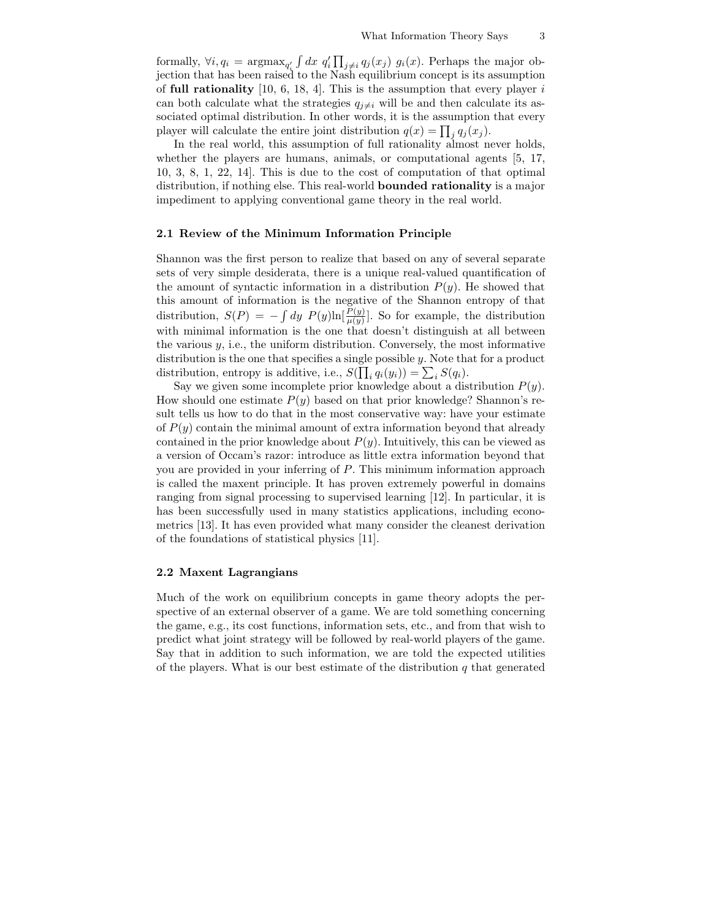formally,  $\forall i, q_i = \text{argmax}_{q'_i} \int dx \ q'_i \prod_{j \neq i} q_j(x_j) \ q_i(x)$ . Perhaps the major objection that has been raised to the Nash equilibrium concept is its assumption of full rationality  $[10, 6, 18, 4]$ . This is the assumption that every player i can both calculate what the strategies  $q_{j\neq i}$  will be and then calculate its associated optimal distribution. In other words, it is the assumption that every player will calculate the entire joint distribution  $q(x) = \prod_j q_j(x_j)$ .

In the real world, this assumption of full rationality almost never holds, whether the players are humans, animals, or computational agents [5, 17, 10, 3, 8, 1, 22, 14]. This is due to the cost of computation of that optimal distribution, if nothing else. This real-world bounded rationality is a major impediment to applying conventional game theory in the real world.

### 2.1 Review of the Minimum Information Principle

Shannon was the first person to realize that based on any of several separate sets of very simple desiderata, there is a unique real-valued quantification of the amount of syntactic information in a distribution  $P(y)$ . He showed that this amount of information is the negative of the Shannon entropy of that distribution,  $S(P) = -\int dy P(y) \ln[\frac{P(y)}{\mu(y)}]$ . So for example, the distribution with minimal information is the one that doesn't distinguish at all between the various  $y$ , i.e., the uniform distribution. Conversely, the most informative distribution is the one that specifies a single possible  $y$ . Note that for a product distribution, entropy is additive, i.e.,  $S(\prod_i q_i(y_i)) = \sum_i S(q_i)$ .

Say we given some incomplete prior knowledge about a distribution  $P(y)$ . How should one estimate  $P(y)$  based on that prior knowledge? Shannon's result tells us how to do that in the most conservative way: have your estimate of  $P(y)$  contain the minimal amount of extra information beyond that already contained in the prior knowledge about  $P(y)$ . Intuitively, this can be viewed as a version of Occam's razor: introduce as little extra information beyond that you are provided in your inferring of P. This minimum information approach is called the maxent principle. It has proven extremely powerful in domains ranging from signal processing to supervised learning [12]. In particular, it is has been successfully used in many statistics applications, including econometrics [13]. It has even provided what many consider the cleanest derivation of the foundations of statistical physics [11].

### 2.2 Maxent Lagrangians

Much of the work on equilibrium concepts in game theory adopts the perspective of an external observer of a game. We are told something concerning the game, e.g., its cost functions, information sets, etc., and from that wish to predict what joint strategy will be followed by real-world players of the game. Say that in addition to such information, we are told the expected utilities of the players. What is our best estimate of the distribution  $q$  that generated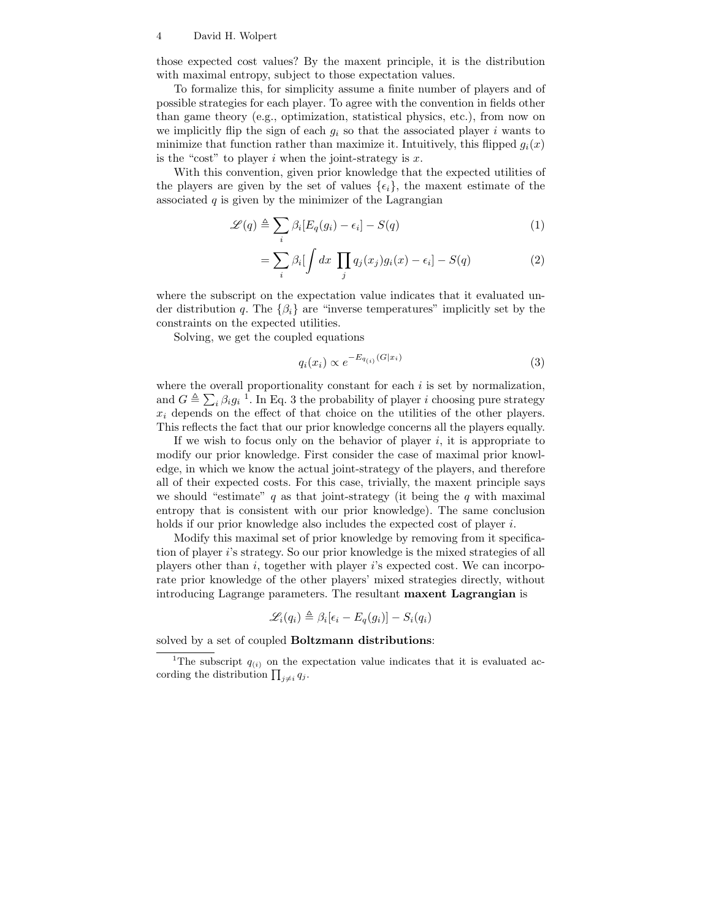those expected cost values? By the maxent principle, it is the distribution with maximal entropy, subject to those expectation values.

To formalize this, for simplicity assume a finite number of players and of possible strategies for each player. To agree with the convention in fields other than game theory (e.g., optimization, statistical physics, etc.), from now on we implicitly flip the sign of each  $g_i$  so that the associated player i wants to minimize that function rather than maximize it. Intuitively, this flipped  $g_i(x)$ is the "cost" to player  $i$  when the joint-strategy is  $x$ .

With this convention, given prior knowledge that the expected utilities of the players are given by the set of values  $\{\epsilon_i\}$ , the maxent estimate of the associated  $q$  is given by the minimizer of the Lagrangian

$$
\mathscr{L}(q) \triangleq \sum_{i} \beta_i [E_q(g_i) - \epsilon_i] - S(q) \tag{1}
$$

$$
= \sum_{i} \beta_i \left[ \int dx \prod_{j} q_j(x_j) g_i(x) - \epsilon_i \right] - S(q) \tag{2}
$$

where the subscript on the expectation value indicates that it evaluated under distribution q. The  $\{\beta_i\}$  are "inverse temperatures" implicitly set by the constraints on the expected utilities.

Solving, we get the coupled equations

$$
q_i(x_i) \propto e^{-E_{q_{(i)}}(G|x_i)} \tag{3}
$$

where the overall proportionality constant for each  $i$  is set by normalization, and  $G \triangleq \sum_i \beta_i g_i^{-1}$ . In Eq. 3 the probability of player i choosing pure strategy  $x_i$  depends on the effect of that choice on the utilities of the other players. This reflects the fact that our prior knowledge concerns all the players equally.

If we wish to focus only on the behavior of player  $i$ , it is appropriate to modify our prior knowledge. First consider the case of maximal prior knowledge, in which we know the actual joint-strategy of the players, and therefore all of their expected costs. For this case, trivially, the maxent principle says we should "estimate"  $q$  as that joint-strategy (it being the  $q$  with maximal entropy that is consistent with our prior knowledge). The same conclusion holds if our prior knowledge also includes the expected cost of player i.

Modify this maximal set of prior knowledge by removing from it specification of player i's strategy. So our prior knowledge is the mixed strategies of all players other than  $i$ , together with player  $i$ 's expected cost. We can incorporate prior knowledge of the other players' mixed strategies directly, without introducing Lagrange parameters. The resultant maxent Lagrangian is

$$
\mathcal{L}_i(q_i) \triangleq \beta_i[\epsilon_i - E_q(g_i)] - S_i(q_i)
$$

solved by a set of coupled **Boltzmann distributions**:

<sup>&</sup>lt;sup>1</sup>The subscript  $q_{(i)}$  on the expectation value indicates that it is evaluated according the distribution  $\prod_{j\neq i} q_j$ .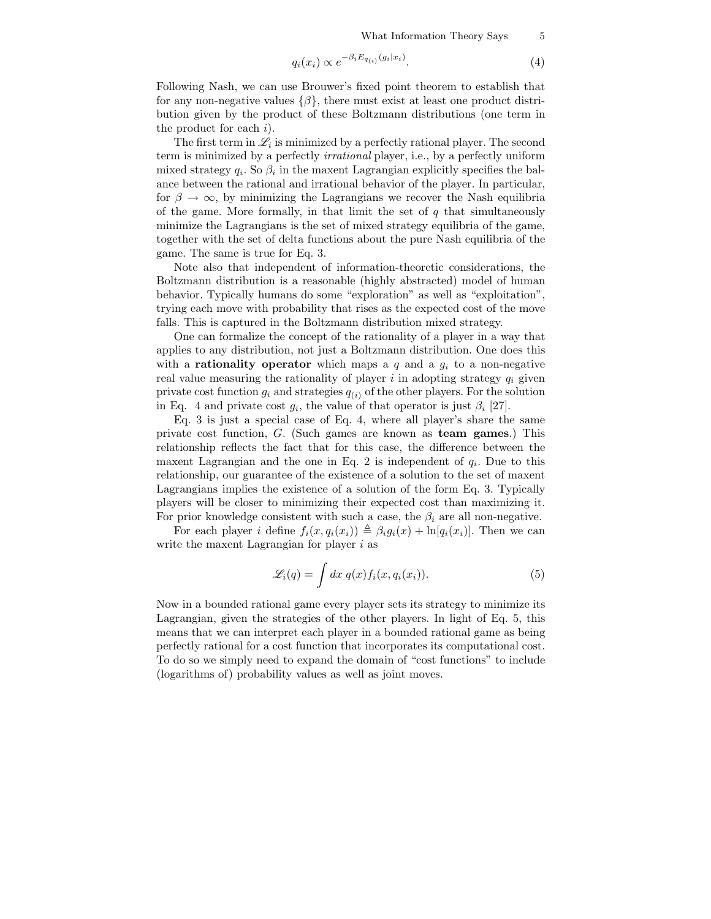What Information Theory Says 5

$$
q_i(x_i) \propto e^{-\beta_i E_{q_{(i)}}(g_i|x_i)}.\tag{4}
$$

Following Nash, we can use Brouwer's fixed point theorem to establish that for any non-negative values  $\{\beta\}$ , there must exist at least one product distribution given by the product of these Boltzmann distributions (one term in the product for each  $i$ ).

The first term in  $\mathscr{L}_i$  is minimized by a perfectly rational player. The second term is minimized by a perfectly irrational player, i.e., by a perfectly uniform mixed strategy  $q_i$ . So  $\beta_i$  in the maxent Lagrangian explicitly specifies the balance between the rational and irrational behavior of the player. In particular, for  $\beta \to \infty$ , by minimizing the Lagrangians we recover the Nash equilibria of the game. More formally, in that limit the set of  $q$  that simultaneously minimize the Lagrangians is the set of mixed strategy equilibria of the game, together with the set of delta functions about the pure Nash equilibria of the game. The same is true for Eq. 3.

Note also that independent of information-theoretic considerations, the Boltzmann distribution is a reasonable (highly abstracted) model of human behavior. Typically humans do some "exploration" as well as "exploitation", trying each move with probability that rises as the expected cost of the move falls. This is captured in the Boltzmann distribution mixed strategy.

One can formalize the concept of the rationality of a player in a way that applies to any distribution, not just a Boltzmann distribution. One does this with a **rationality operator** which maps a  $q$  and a  $g_i$  to a non-negative real value measuring the rationality of player i in adopting strategy  $q_i$  given private cost function  $g_i$  and strategies  $q_{(i)}$  of the other players. For the solution in Eq. 4 and private cost  $g_i$ , the value of that operator is just  $\beta_i$  [27].

Eq. 3 is just a special case of Eq. 4, where all player's share the same private cost function, G. (Such games are known as team games.) This relationship reflects the fact that for this case, the difference between the maxent Lagrangian and the one in Eq. 2 is independent of  $q_i$ . Due to this relationship, our guarantee of the existence of a solution to the set of maxent Lagrangians implies the existence of a solution of the form Eq. 3. Typically players will be closer to minimizing their expected cost than maximizing it. For prior knowledge consistent with such a case, the  $\beta_i$  are all non-negative.

For each player i define  $f_i(x, q_i(x_i)) \triangleq \beta_i g_i(x) + \ln[q_i(x_i)]$ . Then we can write the maxent Lagrangian for player  $i$  as

$$
\mathcal{L}_i(q) = \int dx \; q(x) f_i(x, q_i(x_i)). \tag{5}
$$

Now in a bounded rational game every player sets its strategy to minimize its Lagrangian, given the strategies of the other players. In light of Eq. 5, this means that we can interpret each player in a bounded rational game as being perfectly rational for a cost function that incorporates its computational cost. To do so we simply need to expand the domain of "cost functions" to include (logarithms of) probability values as well as joint moves.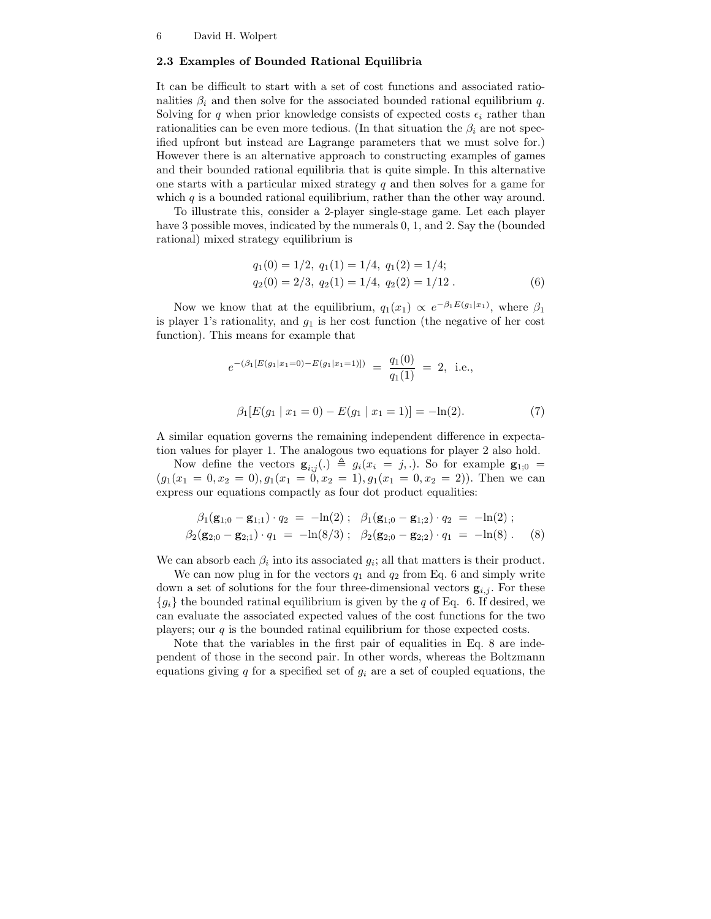### 2.3 Examples of Bounded Rational Equilibria

It can be difficult to start with a set of cost functions and associated rationalities  $\beta_i$  and then solve for the associated bounded rational equilibrium q. Solving for q when prior knowledge consists of expected costs  $\epsilon_i$  rather than rationalities can be even more tedious. (In that situation the  $\beta_i$  are not specified upfront but instead are Lagrange parameters that we must solve for.) However there is an alternative approach to constructing examples of games and their bounded rational equilibria that is quite simple. In this alternative one starts with a particular mixed strategy  $q$  and then solves for a game for which  $q$  is a bounded rational equilibrium, rather than the other way around.

To illustrate this, consider a 2-player single-stage game. Let each player have 3 possible moves, indicated by the numerals 0, 1, and 2. Say the (bounded rational) mixed strategy equilibrium is

$$
q_1(0) = 1/2, q_1(1) = 1/4, q_1(2) = 1/4;
$$
  
\n $q_2(0) = 2/3, q_2(1) = 1/4, q_2(2) = 1/12.$  (6)

Now we know that at the equilibrium,  $q_1(x_1) \propto e^{-\beta_1 E(g_1|x_1)}$ , where  $\beta_1$ is player 1's rationality, and  $g_1$  is her cost function (the negative of her cost function). This means for example that

$$
e^{-(\beta_1[E(g_1|x_1=0)-E(g_1|x_1=1)])} = \frac{q_1(0)}{q_1(1)} = 2, \text{ i.e.,}
$$
  

$$
\beta_1[E(g_1 | x_1=0)-E(g_1 | x_1=1)] = -\ln(2).
$$
 (7)

A similar equation governs the remaining independent difference in expectation values for player 1. The analogous two equations for player 2 also hold.

Now define the vectors  $\mathbf{g}_{i,j}(.) \triangleq g_i(x_i = j,.)$ . So for example  $\mathbf{g}_{1,0}$  $(g_1(x_1 = 0, x_2 = 0), g_1(x_1 = 0, x_2 = 1), g_1(x_1 = 0, x_2 = 2))$ . Then we can express our equations compactly as four dot product equalities:

$$
\beta_1(\mathbf{g}_{1;0} - \mathbf{g}_{1;1}) \cdot q_2 = -\ln(2) ; \quad \beta_1(\mathbf{g}_{1;0} - \mathbf{g}_{1;2}) \cdot q_2 = -\ln(2) ; \n\beta_2(\mathbf{g}_{2;0} - \mathbf{g}_{2;1}) \cdot q_1 = -\ln(8/3) ; \quad \beta_2(\mathbf{g}_{2;0} - \mathbf{g}_{2;2}) \cdot q_1 = -\ln(8) .
$$
\n(8)

We can absorb each  $\beta_i$  into its associated  $g_i$ ; all that matters is their product.

We can now plug in for the vectors  $q_1$  and  $q_2$  from Eq. 6 and simply write down a set of solutions for the four three-dimensional vectors  $\mathbf{g}_{i,j}$ . For these  ${g_i}$  the bounded ratinal equilibrium is given by the q of Eq. 6. If desired, we can evaluate the associated expected values of the cost functions for the two players; our  $q$  is the bounded ratinal equilibrium for those expected costs.

Note that the variables in the first pair of equalities in Eq. 8 are independent of those in the second pair. In other words, whereas the Boltzmann equations giving  $q$  for a specified set of  $g_i$  are a set of coupled equations, the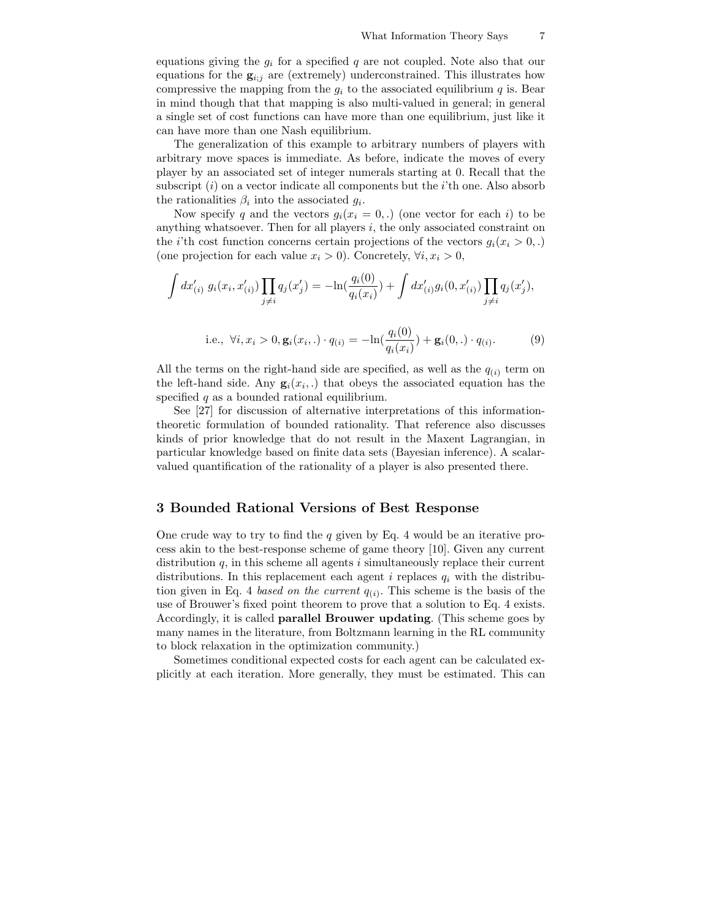equations giving the  $g_i$  for a specified q are not coupled. Note also that our equations for the  $g_{i:j}$  are (extremely) underconstrained. This illustrates how compressive the mapping from the  $g_i$  to the associated equilibrium  $q$  is. Bear in mind though that that mapping is also multi-valued in general; in general a single set of cost functions can have more than one equilibrium, just like it can have more than one Nash equilibrium.

The generalization of this example to arbitrary numbers of players with arbitrary move spaces is immediate. As before, indicate the moves of every player by an associated set of integer numerals starting at 0. Recall that the subscript  $(i)$  on a vector indicate all components but the *i*'th one. Also absorb the rationalities  $\beta_i$  into the associated  $g_i$ .

Now specify q and the vectors  $g_i(x_i = 0,.)$  (one vector for each i) to be anything whatsoever. Then for all players  $i$ , the only associated constraint on the *i*'th cost function concerns certain projections of the vectors  $g_i(x_i > 0,.)$ (one projection for each value  $x_i > 0$ ). Concretely,  $\forall i, x_i > 0$ ,

$$
\int dx'_{(i)} g_i(x_i, x'_{(i)}) \prod_{j \neq i} q_j(x'_j) = -\ln(\frac{q_i(0)}{q_i(x_i)}) + \int dx'_{(i)} g_i(0, x'_{(i)}) \prod_{j \neq i} q_j(x'_j),
$$

i.e., 
$$
\forall i, x_i > 0, \mathbf{g}_i(x_i,.) \cdot q_{(i)} = -\ln(\frac{q_i(0)}{q_i(x_i)}) + \mathbf{g}_i(0,.) \cdot q_{(i)}.
$$
 (9)

All the terms on the right-hand side are specified, as well as the  $q_{(i)}$  term on the left-hand side. Any  $\mathbf{g}_i(x_i,.)$  that obeys the associated equation has the specified  $q$  as a bounded rational equilibrium.

See [27] for discussion of alternative interpretations of this informationtheoretic formulation of bounded rationality. That reference also discusses kinds of prior knowledge that do not result in the Maxent Lagrangian, in particular knowledge based on finite data sets (Bayesian inference). A scalarvalued quantification of the rationality of a player is also presented there.

# 3 Bounded Rational Versions of Best Response

One crude way to try to find the  $q$  given by Eq. 4 would be an iterative process akin to the best-response scheme of game theory [10]. Given any current distribution  $q$ , in this scheme all agents i simultaneously replace their current distributions. In this replacement each agent i replaces  $q_i$  with the distribution given in Eq. 4 based on the current  $q_{(i)}$ . This scheme is the basis of the use of Brouwer's fixed point theorem to prove that a solution to Eq. 4 exists. Accordingly, it is called parallel Brouwer updating. (This scheme goes by many names in the literature, from Boltzmann learning in the RL community to block relaxation in the optimization community.)

Sometimes conditional expected costs for each agent can be calculated explicitly at each iteration. More generally, they must be estimated. This can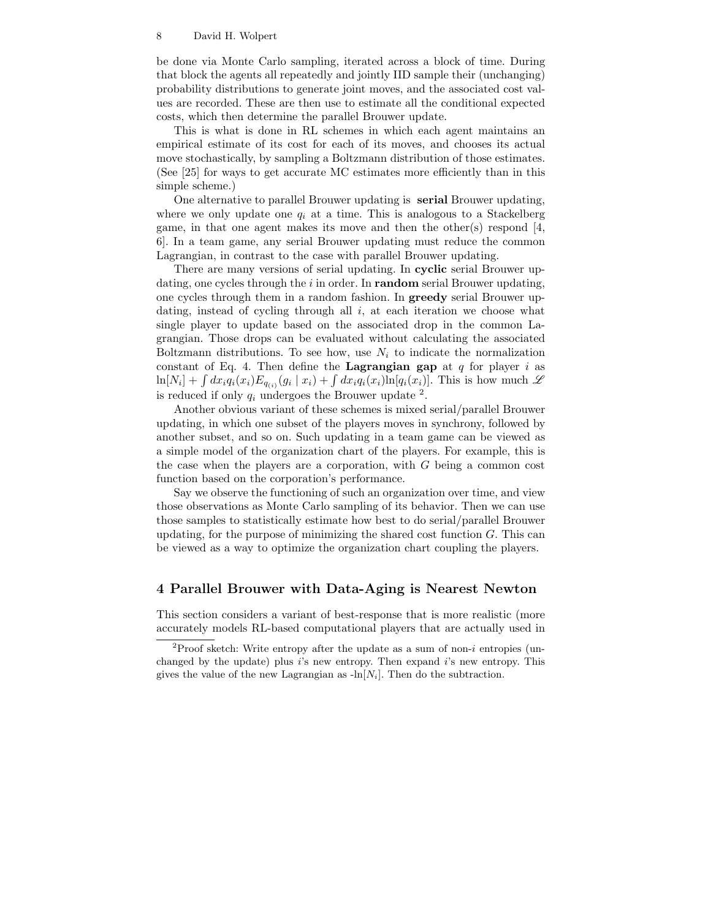be done via Monte Carlo sampling, iterated across a block of time. During that block the agents all repeatedly and jointly IID sample their (unchanging) probability distributions to generate joint moves, and the associated cost values are recorded. These are then use to estimate all the conditional expected costs, which then determine the parallel Brouwer update.

This is what is done in RL schemes in which each agent maintains an empirical estimate of its cost for each of its moves, and chooses its actual move stochastically, by sampling a Boltzmann distribution of those estimates. (See [25] for ways to get accurate MC estimates more efficiently than in this simple scheme.)

One alternative to parallel Brouwer updating is serial Brouwer updating, where we only update one  $q_i$  at a time. This is analogous to a Stackelberg game, in that one agent makes its move and then the other(s) respond [4, 6]. In a team game, any serial Brouwer updating must reduce the common Lagrangian, in contrast to the case with parallel Brouwer updating.

There are many versions of serial updating. In cyclic serial Brouwer updating, one cycles through the  $i$  in order. In **random** serial Brouwer updating, one cycles through them in a random fashion. In greedy serial Brouwer updating, instead of cycling through all  $i$ , at each iteration we choose what single player to update based on the associated drop in the common Lagrangian. Those drops can be evaluated without calculating the associated Boltzmann distributions. To see how, use  $N_i$  to indicate the normalization constant of Eq. 4. Then define the **Lagrangian gap** at  $q$  for player i as  $\ln[N_i] + \int dx_i q_i(x_i) E_{q(i)}(g_i | x_i) + \int dx_i q_i(x_i) \ln[q_i(x_i)]$ . This is how much  $\mathscr L$ is reduced if only  $q_i$  undergoes the Brouwer update <sup>2</sup>.

Another obvious variant of these schemes is mixed serial/parallel Brouwer updating, in which one subset of the players moves in synchrony, followed by another subset, and so on. Such updating in a team game can be viewed as a simple model of the organization chart of the players. For example, this is the case when the players are a corporation, with  $G$  being a common cost function based on the corporation's performance.

Say we observe the functioning of such an organization over time, and view those observations as Monte Carlo sampling of its behavior. Then we can use those samples to statistically estimate how best to do serial/parallel Brouwer updating, for the purpose of minimizing the shared cost function  $G$ . This can be viewed as a way to optimize the organization chart coupling the players.

# 4 Parallel Brouwer with Data-Aging is Nearest Newton

This section considers a variant of best-response that is more realistic (more accurately models RL-based computational players that are actually used in

<sup>&</sup>lt;sup>2</sup>Proof sketch: Write entropy after the update as a sum of non-i entropies (unchanged by the update) plus  $i$ 's new entropy. Then expand  $i$ 's new entropy. This gives the value of the new Lagrangian as  $-\ln[N_i]$ . Then do the subtraction.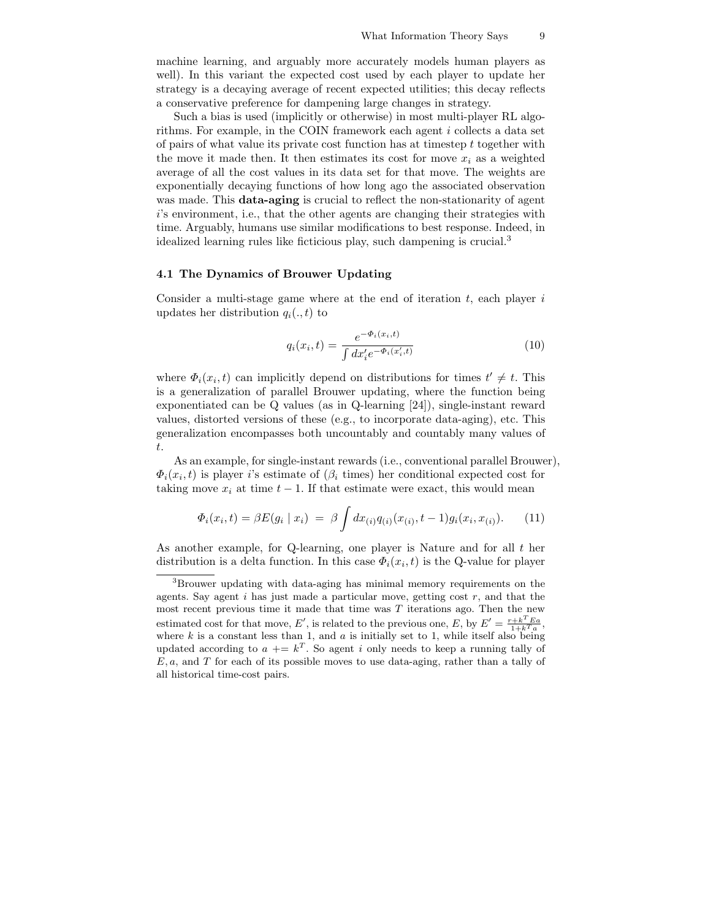machine learning, and arguably more accurately models human players as well). In this variant the expected cost used by each player to update her strategy is a decaying average of recent expected utilities; this decay reflects a conservative preference for dampening large changes in strategy.

Such a bias is used (implicitly or otherwise) in most multi-player RL algorithms. For example, in the COIN framework each agent i collects a data set of pairs of what value its private cost function has at timestep  $t$  together with the move it made then. It then estimates its cost for move  $x_i$  as a weighted average of all the cost values in its data set for that move. The weights are exponentially decaying functions of how long ago the associated observation was made. This **data-aging** is crucial to reflect the non-stationarity of agent i's environment, i.e., that the other agents are changing their strategies with time. Arguably, humans use similar modifications to best response. Indeed, in idealized learning rules like ficticious play, such dampening is crucial.<sup>3</sup>

## 4.1 The Dynamics of Brouwer Updating

Consider a multi-stage game where at the end of iteration  $t$ , each player  $i$ updates her distribution  $q_i(., t)$  to

$$
q_i(x_i, t) = \frac{e^{-\Phi_i(x_i, t)}}{\int dx_i' e^{-\Phi_i(x_i', t)}}
$$
(10)

where  $\Phi_i(x_i, t)$  can implicitly depend on distributions for times  $t' \neq t$ . This is a generalization of parallel Brouwer updating, where the function being exponentiated can be Q values (as in Q-learning [24]), single-instant reward values, distorted versions of these (e.g., to incorporate data-aging), etc. This generalization encompasses both uncountably and countably many values of t.

As an example, for single-instant rewards (i.e., conventional parallel Brouwer),  $\Phi_i(x_i, t)$  is player i's estimate of  $(\beta_i$  times) her conditional expected cost for taking move  $x_i$  at time  $t - 1$ . If that estimate were exact, this would mean

$$
\Phi_i(x_i, t) = \beta E(g_i \mid x_i) = \beta \int dx_{(i)} q_{(i)}(x_{(i)}, t-1) g_i(x_i, x_{(i)}).
$$
 (11)

As another example, for Q-learning, one player is Nature and for all  $t$  her distribution is a delta function. In this case  $\Phi_i(x_i, t)$  is the Q-value for player

<sup>3</sup>Brouwer updating with data-aging has minimal memory requirements on the agents. Say agent  $i$  has just made a particular move, getting cost  $r$ , and that the most recent previous time it made that time was  $T$  iterations ago. Then the new estimated cost for that move, E', is related to the previous one, E, by  $E' = \frac{r+k^T E a}{1+k^T a}$ , where  $k$  is a constant less than 1, and  $a$  is initially set to 1, while itself also being updated according to  $a \vcentcolon= k^T$ . So agent i only needs to keep a running tally of  $E, a$ , and T for each of its possible moves to use data-aging, rather than a tally of all historical time-cost pairs.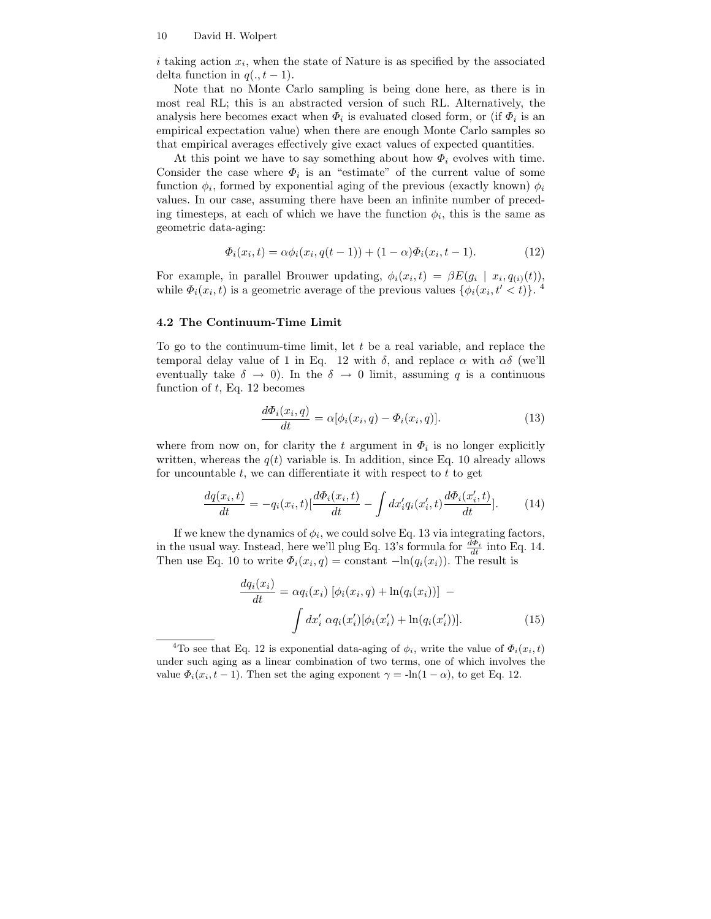i taking action  $x_i$ , when the state of Nature is as specified by the associated delta function in  $q(., t-1)$ .

Note that no Monte Carlo sampling is being done here, as there is in most real RL; this is an abstracted version of such RL. Alternatively, the analysis here becomes exact when  $\Phi_i$  is evaluated closed form, or (if  $\Phi_i$  is an empirical expectation value) when there are enough Monte Carlo samples so that empirical averages effectively give exact values of expected quantities.

At this point we have to say something about how  $\Phi_i$  evolves with time. Consider the case where  $\Phi_i$  is an "estimate" of the current value of some function  $\phi_i$ , formed by exponential aging of the previous (exactly known)  $\phi_i$ values. In our case, assuming there have been an infinite number of preceding timesteps, at each of which we have the function  $\phi_i$ , this is the same as geometric data-aging:

$$
\Phi_i(x_i, t) = \alpha \phi_i(x_i, q(t-1)) + (1 - \alpha) \Phi_i(x_i, t-1).
$$
 (12)

For example, in parallel Brouwer updating,  $\phi_i(x_i, t) = \beta E(g_i \mid x_i, q_{(i)}(t)),$ while  $\Phi_i(x_i, t)$  is a geometric average of the previous values  $\{\phi_i(x_i, t' < t)\}\.$ <sup>4</sup>

### 4.2 The Continuum-Time Limit

To go to the continuum-time limit, let  $t$  be a real variable, and replace the temporal delay value of 1 in Eq. 12 with  $\delta$ , and replace  $\alpha$  with  $\alpha\delta$  (we'll eventually take  $\delta \to 0$ ). In the  $\delta \to 0$  limit, assuming q is a continuous function of  $t$ , Eq. 12 becomes

$$
\frac{d\Phi_i(x_i, q)}{dt} = \alpha[\phi_i(x_i, q) - \Phi_i(x_i, q)].
$$
\n(13)

where from now on, for clarity the t argument in  $\Phi_i$  is no longer explicitly written, whereas the  $q(t)$  variable is. In addition, since Eq. 10 already allows for uncountable  $t$ , we can differentiate it with respect to  $t$  to get

$$
\frac{dq(x_i, t)}{dt} = -q_i(x_i, t)[\frac{d\Phi_i(x_i, t)}{dt} - \int dx_i' q_i(x_i', t) \frac{d\Phi_i(x_i', t)}{dt}].
$$
 (14)

If we knew the dynamics of  $\phi_i$ , we could solve Eq. 13 via integrating factors, in the usual way. Instead, here we'll plug Eq. 13's formula for  $\frac{d\Phi_i}{dt}$  into Eq. 14. Then use Eq. 10 to write  $\Phi_i(x_i, q) = \text{constant } -\ln(q_i(x_i))$ . The result is

$$
\frac{dq_i(x_i)}{dt} = \alpha q_i(x_i) [\phi_i(x_i, q) + \ln(q_i(x_i))] -
$$
\n
$$
\int dx'_i \alpha q_i(x'_i) [\phi_i(x'_i) + \ln(q_i(x'_i))].
$$
\n(15)

<sup>&</sup>lt;sup>4</sup>To see that Eq. 12 is exponential data-aging of  $\phi_i$ , write the value of  $\Phi_i(x_i, t)$ under such aging as a linear combination of two terms, one of which involves the value  $\Phi_i(x_i, t-1)$ . Then set the aging exponent  $\gamma = -\ln(1-\alpha)$ , to get Eq. 12.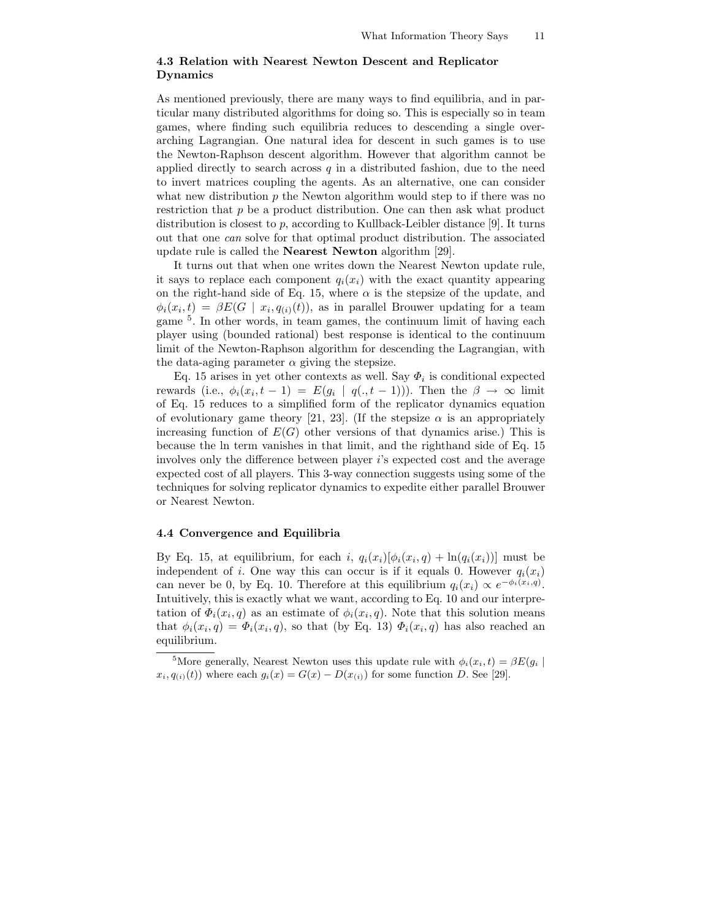## 4.3 Relation with Nearest Newton Descent and Replicator Dynamics

As mentioned previously, there are many ways to find equilibria, and in particular many distributed algorithms for doing so. This is especially so in team games, where finding such equilibria reduces to descending a single overarching Lagrangian. One natural idea for descent in such games is to use the Newton-Raphson descent algorithm. However that algorithm cannot be applied directly to search across  $q$  in a distributed fashion, due to the need to invert matrices coupling the agents. As an alternative, one can consider what new distribution  $p$  the Newton algorithm would step to if there was no restriction that  $p$  be a product distribution. One can then ask what product distribution is closest to  $p$ , according to Kullback-Leibler distance [9]. It turns out that one can solve for that optimal product distribution. The associated update rule is called the Nearest Newton algorithm [29].

It turns out that when one writes down the Nearest Newton update rule, it says to replace each component  $q_i(x_i)$  with the exact quantity appearing on the right-hand side of Eq. 15, where  $\alpha$  is the stepsize of the update, and  $\phi_i(x_i, t) = \beta E(G \mid x_i, q_{(i)}(t)),$  as in parallel Brouwer updating for a team game <sup>5</sup>. In other words, in team games, the continuum limit of having each player using (bounded rational) best response is identical to the continuum limit of the Newton-Raphson algorithm for descending the Lagrangian, with the data-aging parameter  $\alpha$  giving the stepsize.

Eq. 15 arises in yet other contexts as well. Say  $\Phi_i$  is conditional expected rewards (i.e.,  $\phi_i(x_i, t-1) = E(g_i | q(., t-1))$ ). Then the  $\beta \to \infty$  limit of Eq. 15 reduces to a simplified form of the replicator dynamics equation of evolutionary game theory [21, 23]. (If the stepsize  $\alpha$  is an appropriately increasing function of  $E(G)$  other versions of that dynamics arise.) This is because the ln term vanishes in that limit, and the righthand side of Eq. 15 involves only the difference between player i's expected cost and the average expected cost of all players. This 3-way connection suggests using some of the techniques for solving replicator dynamics to expedite either parallel Brouwer or Nearest Newton.

### 4.4 Convergence and Equilibria

By Eq. 15, at equilibrium, for each i,  $q_i(x_i)[\phi_i(x_i, q) + \ln(q_i(x_i))]$  must be independent of i. One way this can occur is if it equals 0. However  $q_i(x_i)$ can never be 0, by Eq. 10. Therefore at this equilibrium  $q_i(x_i) \propto e^{-\phi_i(x_i, q)}$ . Intuitively, this is exactly what we want, according to Eq. 10 and our interpretation of  $\Phi_i(x_i, q)$  as an estimate of  $\phi_i(x_i, q)$ . Note that this solution means that  $\phi_i(x_i, q) = \Phi_i(x_i, q)$ , so that (by Eq. 13)  $\Phi_i(x_i, q)$  has also reached an equilibrium.

<sup>&</sup>lt;sup>5</sup>More generally, Nearest Newton uses this update rule with  $\phi_i(x_i, t) = \beta E(g_i)$  $x_i, q_{(i)}(t)$  where each  $g_i(x) = G(x) - D(x_{(i)})$  for some function D. See [29].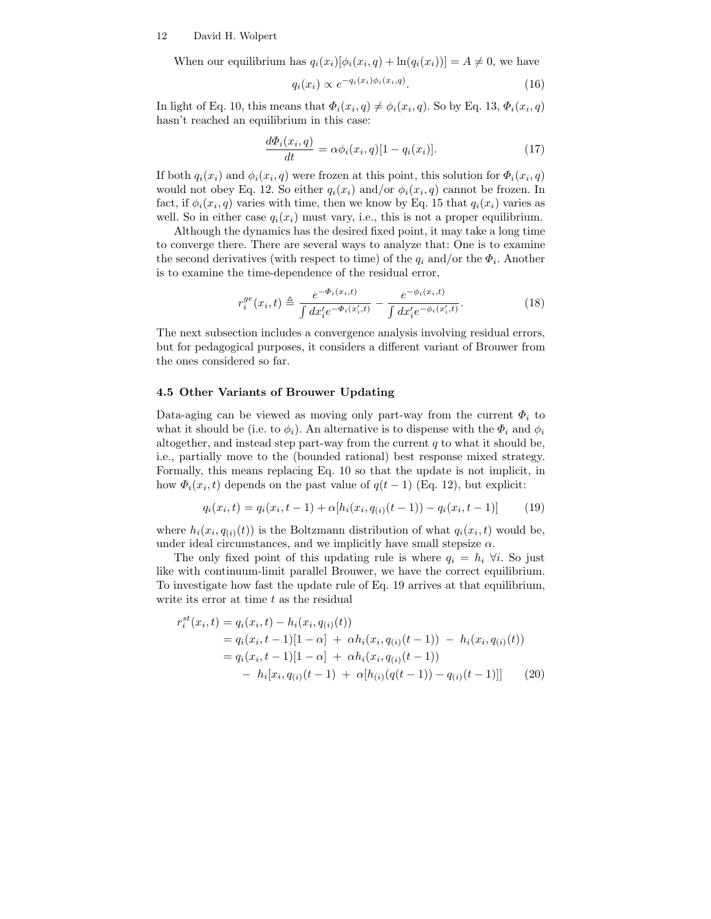When our equilibrium has  $q_i(x_i)[\phi_i(x_i, q) + \ln(q_i(x_i))] = A \neq 0$ , we have

$$
q_i(x_i) \propto e^{-q_i(x_i)\phi_i(x_i, q)}.\tag{16}
$$

In light of Eq. 10, this means that  $\Phi_i(x_i, q) \neq \phi_i(x_i, q)$ . So by Eq. 13,  $\Phi_i(x_i, q)$ hasn't reached an equilibrium in this case:

$$
\frac{d\Phi_i(x_i, q)}{dt} = \alpha \phi_i(x_i, q)[1 - q_i(x_i)].
$$
\n(17)

If both  $q_i(x_i)$  and  $\phi_i(x_i, q)$  were frozen at this point, this solution for  $\Phi_i(x_i, q)$ would not obey Eq. 12. So either  $q_i(x_i)$  and/or  $\phi_i(x_i, q)$  cannot be frozen. In fact, if  $\phi_i(x_i, q)$  varies with time, then we know by Eq. 15 that  $q_i(x_i)$  varies as well. So in either case  $q_i(x_i)$  must vary, i.e., this is not a proper equilibrium.

Although the dynamics has the desired fixed point, it may take a long time to converge there. There are several ways to analyze that: One is to examine the second derivatives (with respect to time) of the  $q_i$  and/or the  $\Phi_i$ . Another is to examine the time-dependence of the residual error,

$$
r_i^{ge}(x_i, t) \triangleq \frac{e^{-\Phi_i(x_i, t)}}{\int dx_i' e^{-\Phi_i(x_i', t)}} - \frac{e^{-\phi_i(x_i, t)}}{\int dx_i' e^{-\phi_i(x_i', t)}}.
$$
(18)

The next subsection includes a convergence analysis involving residual errors, but for pedagogical purposes, it considers a different variant of Brouwer from the ones considered so far.

### 4.5 Other Variants of Brouwer Updating

Data-aging can be viewed as moving only part-way from the current  $\Phi_i$  to what it should be (i.e. to  $\phi_i$ ). An alternative is to dispense with the  $\Phi_i$  and  $\phi_i$ altogether, and instead step part-way from the current  $q$  to what it should be, i.e., partially move to the (bounded rational) best response mixed strategy. Formally, this means replacing Eq. 10 so that the update is not implicit, in how  $\Phi_i(x_i, t)$  depends on the past value of  $q(t-1)$  (Eq. 12), but explicit:

$$
q_i(x_i, t) = q_i(x_i, t-1) + \alpha [h_i(x_i, q_{(i)}(t-1)) - q_i(x_i, t-1)] \tag{19}
$$

where  $h_i(x_i, q_{(i)}(t))$  is the Boltzmann distribution of what  $q_i(x_i, t)$  would be, under ideal circumstances, and we implicitly have small stepsize  $\alpha$ .

The only fixed point of this updating rule is where  $q_i = h_i \; \forall i$ . So just like with continuum-limit parallel Brouwer, we have the correct equilibrium. To investigate how fast the update rule of Eq. 19 arrives at that equilibrium, write its error at time  $t$  as the residual

$$
r_i^{st}(x_i, t) = q_i(x_i, t) - h_i(x_i, q_{(i)}(t))
$$
  
=  $q_i(x_i, t-1)[1-\alpha] + \alpha h_i(x_i, q_{(i)}(t-1)) - h_i(x_i, q_{(i)}(t))$   
=  $q_i(x_i, t-1)[1-\alpha] + \alpha h_i(x_i, q_{(i)}(t-1))$   
-  $h_i[x_i, q_{(i)}(t-1) + \alpha[h_{(i)}(q(t-1)) - q_{(i)}(t-1)]]$  (20)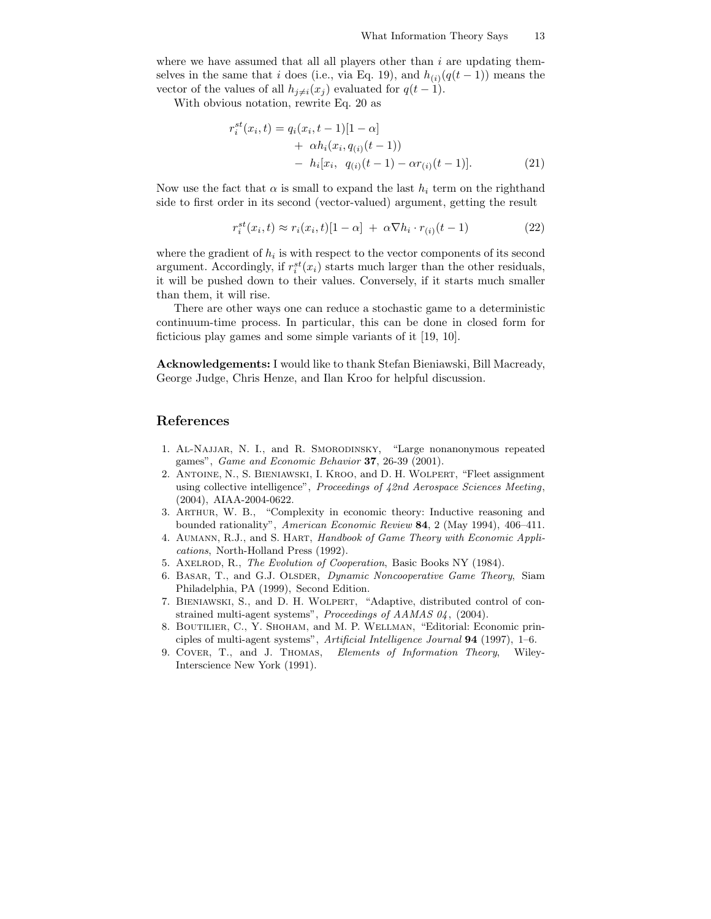where we have assumed that all all players other than  $i$  are updating themselves in the same that i does (i.e., via Eq. 19), and  $h_{(i)}(q(t-1))$  means the vector of the values of all  $h_{j\neq i}(x_j)$  evaluated for  $q(t-1)$ .

With obvious notation, rewrite Eq. 20 as

$$
r_i^{st}(x_i, t) = q_i(x_i, t-1)[1-\alpha] + \alpha h_i(x_i, q_{(i)}(t-1)) - h_i[x_i, q_{(i)}(t-1) - \alpha r_{(i)}(t-1)].
$$
\n(21)

Now use the fact that  $\alpha$  is small to expand the last  $h_i$  term on the righthand side to first order in its second (vector-valued) argument, getting the result

$$
r_i^{st}(x_i, t) \approx r_i(x_i, t)[1 - \alpha] + \alpha \nabla h_i \cdot r_{(i)}(t - 1)
$$
\n(22)

where the gradient of  $h_i$  is with respect to the vector components of its second argument. Accordingly, if  $r_i^{st}(x_i)$  starts much larger than the other residuals, it will be pushed down to their values. Conversely, if it starts much smaller than them, it will rise.

There are other ways one can reduce a stochastic game to a deterministic continuum-time process. In particular, this can be done in closed form for ficticious play games and some simple variants of it [19, 10].

Acknowledgements: I would like to thank Stefan Bieniawski, Bill Macready, George Judge, Chris Henze, and Ilan Kroo for helpful discussion.

# References

- 1. Al-Najjar, N. I., and R. Smorodinsky, "Large nonanonymous repeated games", Game and Economic Behavior 37, 26-39 (2001).
- 2. Antoine, N., S. Bieniawski, I. Kroo, and D. H. Wolpert, "Fleet assignment using collective intelligence", Proceedings of  $42nd$  Aerospace Sciences Meeting, (2004), AIAA-2004-0622.
- 3. Arthur, W. B., "Complexity in economic theory: Inductive reasoning and bounded rationality", American Economic Review 84, 2 (May 1994), 406–411.
- 4. Aumann, R.J., and S. Hart, Handbook of Game Theory with Economic Applications, North-Holland Press (1992).
- 5. Axelrod, R., The Evolution of Cooperation, Basic Books NY (1984).
- 6. BASAR, T., and G.J. OLSDER, *Dynamic Noncooperative Game Theory*, Siam Philadelphia, PA (1999), Second Edition.
- 7. Bieniawski, S., and D. H. Wolpert, "Adaptive, distributed control of constrained multi-agent systems", Proceedings of AAMAS 04, (2004).
- 8. Boutilier, C., Y. Shoham, and M. P. Wellman, "Editorial: Economic principles of multi-agent systems", Artificial Intelligence Journal 94 (1997), 1–6.
- 9. Cover, T., and J. Thomas, Elements of Information Theory, Wiley-Interscience New York (1991).